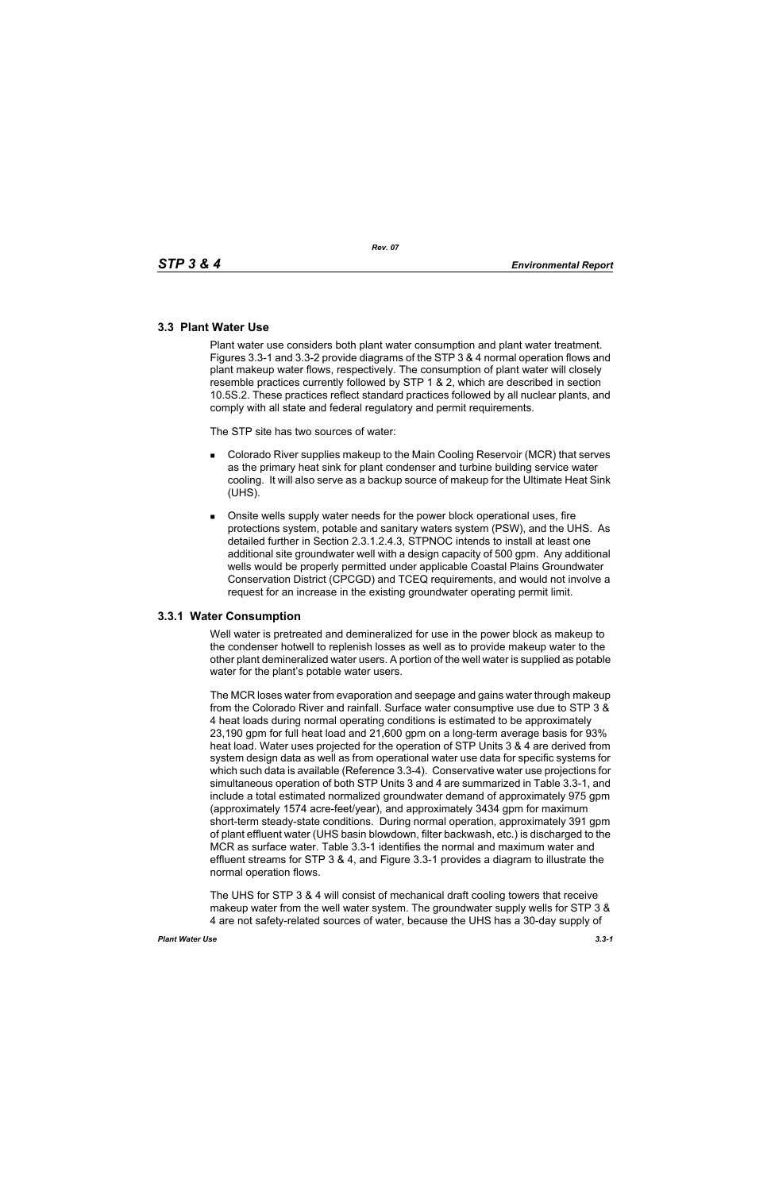# **3.3 Plant Water Use**

Plant water use considers both plant water consumption and plant water treatment. Figures 3.3-1 and 3.3-2 provide diagrams of the STP 3 & 4 normal operation flows and plant makeup water flows, respectively. The consumption of plant water will closely resemble practices currently followed by STP 1 & 2, which are described in section 10.5S.2. These practices reflect standard practices followed by all nuclear plants, and comply with all state and federal regulatory and permit requirements.

The STP site has two sources of water:

- **Colorado River supplies makeup to the Main Cooling Reservoir (MCR) that serves** as the primary heat sink for plant condenser and turbine building service water cooling. It will also serve as a backup source of makeup for the Ultimate Heat Sink (UHS).
- Onsite wells supply water needs for the power block operational uses, fire protections system, potable and sanitary waters system (PSW), and the UHS. As detailed further in Section 2.3.1.2.4.3, STPNOC intends to install at least one additional site groundwater well with a design capacity of 500 gpm. Any additional wells would be properly permitted under applicable Coastal Plains Groundwater Conservation District (CPCGD) and TCEQ requirements, and would not involve a request for an increase in the existing groundwater operating permit limit.

## **3.3.1 Water Consumption**

Well water is pretreated and demineralized for use in the power block as makeup to the condenser hotwell to replenish losses as well as to provide makeup water to the other plant demineralized water users. A portion of the well water is supplied as potable water for the plant's potable water users.

The MCR loses water from evaporation and seepage and gains water through makeup from the Colorado River and rainfall. Surface water consumptive use due to STP 3 & 4 heat loads during normal operating conditions is estimated to be approximately 23,190 gpm for full heat load and 21,600 gpm on a long-term average basis for 93% heat load. Water uses projected for the operation of STP Units 3 & 4 are derived from system design data as well as from operational water use data for specific systems for which such data is available (Reference 3.3-4). Conservative water use projections for simultaneous operation of both STP Units 3 and 4 are summarized in Table 3.3-1, and include a total estimated normalized groundwater demand of approximately 975 gpm (approximately 1574 acre-feet/year), and approximately 3434 gpm for maximum short-term steady-state conditions. During normal operation, approximately 391 gpm of plant effluent water (UHS basin blowdown, filter backwash, etc.) is discharged to the MCR as surface water. Table 3.3-1 identifies the normal and maximum water and effluent streams for STP 3 & 4, and Figure 3.3-1 provides a diagram to illustrate the normal operation flows.

The UHS for STP 3 & 4 will consist of mechanical draft cooling towers that receive makeup water from the well water system. The groundwater supply wells for STP 3 & 4 are not safety-related sources of water, because the UHS has a 30-day supply of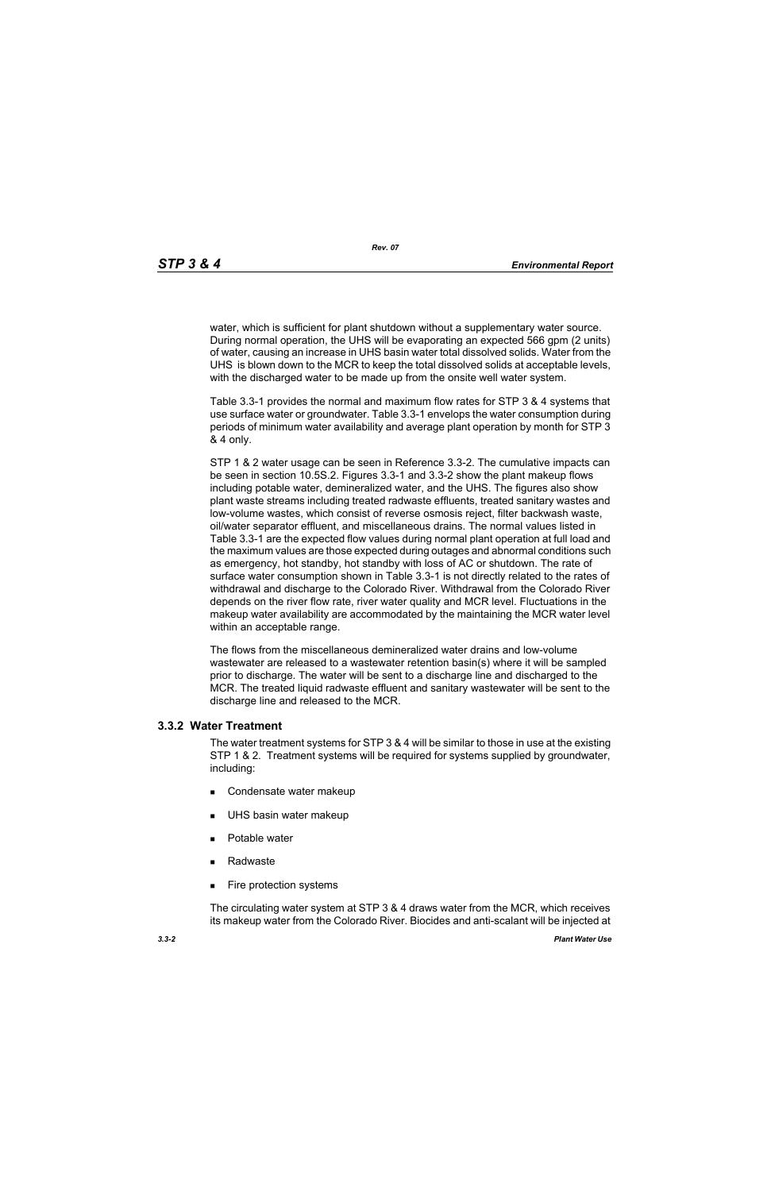*Rev. 07*

water, which is sufficient for plant shutdown without a supplementary water source. During normal operation, the UHS will be evaporating an expected 566 gpm (2 units) of water, causing an increase in UHS basin water total dissolved solids. Water from the UHS is blown down to the MCR to keep the total dissolved solids at acceptable levels, with the discharged water to be made up from the onsite well water system.

Table 3.3-1 provides the normal and maximum flow rates for STP 3 & 4 systems that use surface water or groundwater. Table 3.3-1 envelops the water consumption during periods of minimum water availability and average plant operation by month for STP 3 & 4 only.

STP 1 & 2 water usage can be seen in Reference 3.3-2. The cumulative impacts can be seen in section 10.5S.2. Figures 3.3-1 and 3.3-2 show the plant makeup flows including potable water, demineralized water, and the UHS. The figures also show plant waste streams including treated radwaste effluents, treated sanitary wastes and low-volume wastes, which consist of reverse osmosis reject, filter backwash waste, oil/water separator effluent, and miscellaneous drains. The normal values listed in Table 3.3-1 are the expected flow values during normal plant operation at full load and the maximum values are those expected during outages and abnormal conditions such as emergency, hot standby, hot standby with loss of AC or shutdown. The rate of surface water consumption shown in Table 3.3-1 is not directly related to the rates of withdrawal and discharge to the Colorado River. Withdrawal from the Colorado River depends on the river flow rate, river water quality and MCR level. Fluctuations in the makeup water availability are accommodated by the maintaining the MCR water level within an acceptable range.

The flows from the miscellaneous demineralized water drains and low-volume wastewater are released to a wastewater retention basin(s) where it will be sampled prior to discharge. The water will be sent to a discharge line and discharged to the MCR. The treated liquid radwaste effluent and sanitary wastewater will be sent to the discharge line and released to the MCR.

## **3.3.2 Water Treatment**

The water treatment systems for STP 3 & 4 will be similar to those in use at the existing STP 1 & 2. Treatment systems will be required for systems supplied by groundwater, including:

- Condensate water makeup
- **UHS basin water makeup**
- **Potable water**
- Radwaste
- **Fire protection systems**

The circulating water system at STP 3 & 4 draws water from the MCR, which receives its makeup water from the Colorado River. Biocides and anti-scalant will be injected at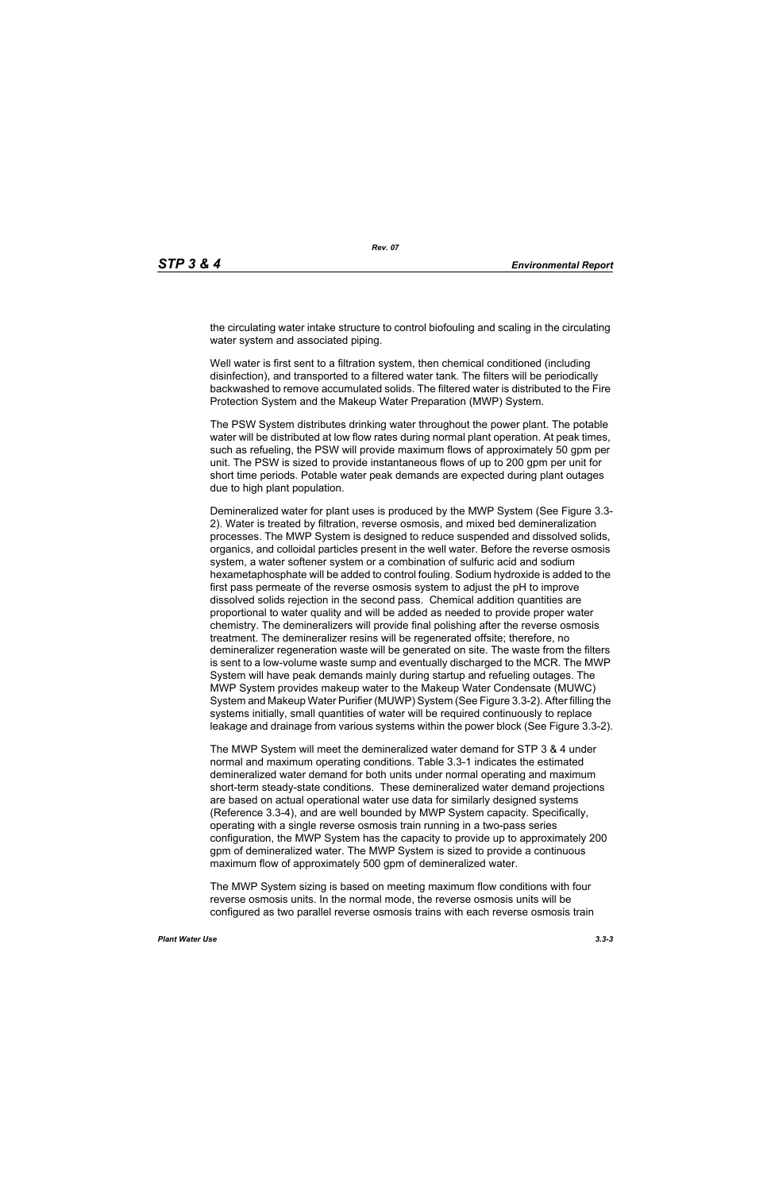the circulating water intake structure to control biofouling and scaling in the circulating water system and associated piping.

Well water is first sent to a filtration system, then chemical conditioned (including disinfection), and transported to a filtered water tank. The filters will be periodically backwashed to remove accumulated solids. The filtered water is distributed to the Fire Protection System and the Makeup Water Preparation (MWP) System.

The PSW System distributes drinking water throughout the power plant. The potable water will be distributed at low flow rates during normal plant operation. At peak times, such as refueling, the PSW will provide maximum flows of approximately 50 gpm per unit. The PSW is sized to provide instantaneous flows of up to 200 gpm per unit for short time periods. Potable water peak demands are expected during plant outages due to high plant population.

Demineralized water for plant uses is produced by the MWP System (See Figure 3.3- 2). Water is treated by filtration, reverse osmosis, and mixed bed demineralization processes. The MWP System is designed to reduce suspended and dissolved solids, organics, and colloidal particles present in the well water. Before the reverse osmosis system, a water softener system or a combination of sulfuric acid and sodium hexametaphosphate will be added to control fouling. Sodium hydroxide is added to the first pass permeate of the reverse osmosis system to adjust the pH to improve dissolved solids rejection in the second pass. Chemical addition quantities are proportional to water quality and will be added as needed to provide proper water chemistry. The demineralizers will provide final polishing after the reverse osmosis treatment. The demineralizer resins will be regenerated offsite; therefore, no demineralizer regeneration waste will be generated on site. The waste from the filters is sent to a low-volume waste sump and eventually discharged to the MCR. The MWP System will have peak demands mainly during startup and refueling outages. The MWP System provides makeup water to the Makeup Water Condensate (MUWC) System and Makeup Water Purifier (MUWP) System (See Figure 3.3-2). After filling the systems initially, small quantities of water will be required continuously to replace leakage and drainage from various systems within the power block (See Figure 3.3-2).

The MWP System will meet the demineralized water demand for STP 3 & 4 under normal and maximum operating conditions. Table 3.3-1 indicates the estimated demineralized water demand for both units under normal operating and maximum short-term steady-state conditions. These demineralized water demand projections are based on actual operational water use data for similarly designed systems (Reference 3.3-4), and are well bounded by MWP System capacity. Specifically, operating with a single reverse osmosis train running in a two-pass series configuration, the MWP System has the capacity to provide up to approximately 200 gpm of demineralized water. The MWP System is sized to provide a continuous maximum flow of approximately 500 gpm of demineralized water.

The MWP System sizing is based on meeting maximum flow conditions with four reverse osmosis units. In the normal mode, the reverse osmosis units will be configured as two parallel reverse osmosis trains with each reverse osmosis train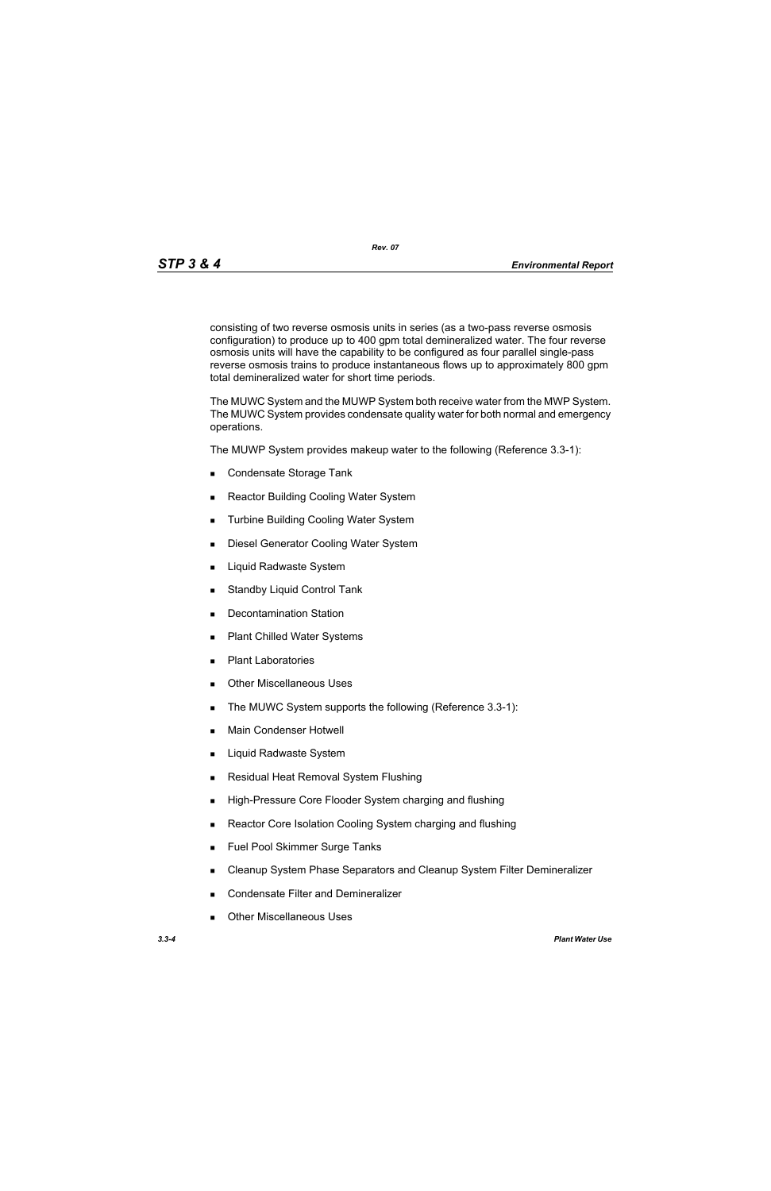*Rev. 07*

consisting of two reverse osmosis units in series (as a two-pass reverse osmosis configuration) to produce up to 400 gpm total demineralized water. The four reverse osmosis units will have the capability to be configured as four parallel single-pass reverse osmosis trains to produce instantaneous flows up to approximately 800 gpm total demineralized water for short time periods.

The MUWC System and the MUWP System both receive water from the MWP System. The MUWC System provides condensate quality water for both normal and emergency operations.

The MUWP System provides makeup water to the following (Reference 3.3-1):

- Condensate Storage Tank
- Reactor Building Cooling Water System
- **Turbine Building Cooling Water System**
- **Diesel Generator Cooling Water System**
- **Liquid Radwaste System**
- **Standby Liquid Control Tank**
- **Decontamination Station**
- Plant Chilled Water Systems
- **Plant Laboratories**
- **Duries** Other Miscellaneous Uses
- The MUWC System supports the following (Reference 3.3-1):
- **Main Condenser Hotwell**
- Liquid Radwaste System
- **Residual Heat Removal System Flushing**
- **High-Pressure Core Flooder System charging and flushing**
- Reactor Core Isolation Cooling System charging and flushing
- **Fuel Pool Skimmer Surge Tanks**
- **EXEC** Cleanup System Phase Separators and Cleanup System Filter Demineralizer
- **Condensate Filter and Demineralizer**
- Other Miscellaneous Uses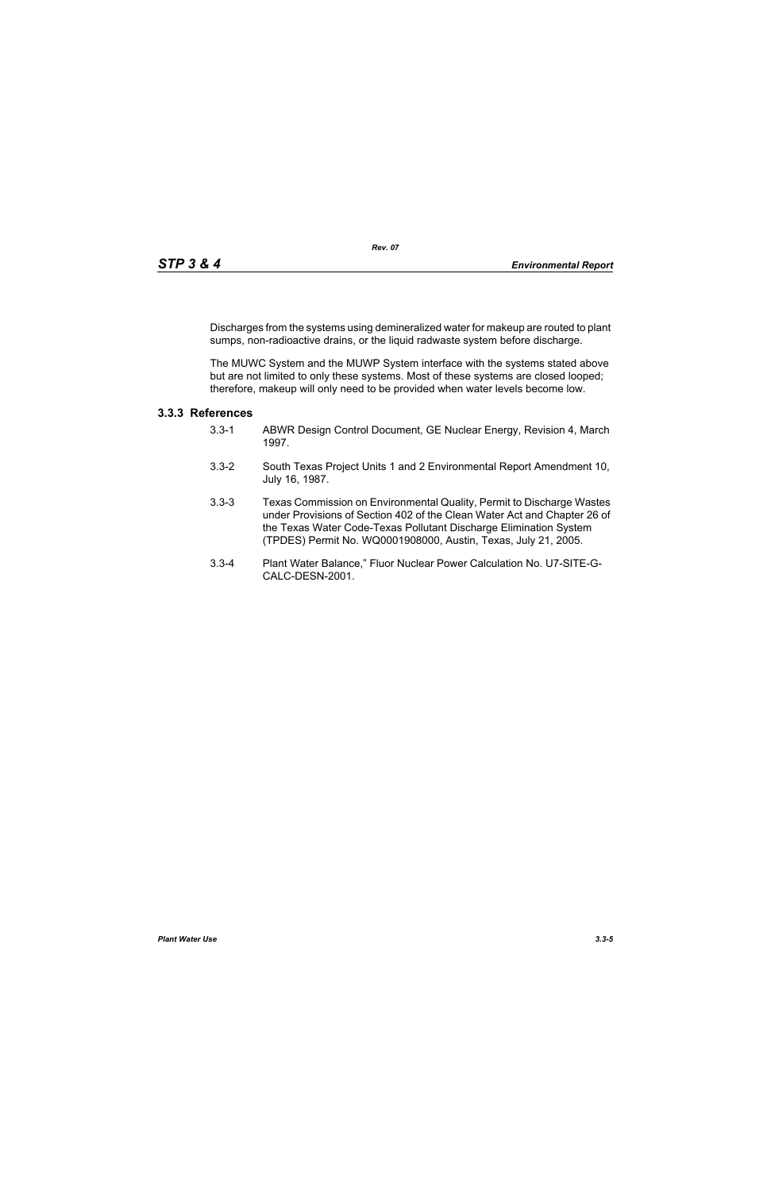Discharges from the systems using demineralized water for makeup are routed to plant sumps, non-radioactive drains, or the liquid radwaste system before discharge.

The MUWC System and the MUWP System interface with the systems stated above but are not limited to only these systems. Most of these systems are closed looped; therefore, makeup will only need to be provided when water levels become low.

# **3.3.3 References**

- 3.3-1 ABWR Design Control Document, GE Nuclear Energy, Revision 4, March 1997.
- 3.3-2 South Texas Project Units 1 and 2 Environmental Report Amendment 10, July 16, 1987.
- 3.3-3 Texas Commission on Environmental Quality, Permit to Discharge Wastes under Provisions of Section 402 of the Clean Water Act and Chapter 26 of the Texas Water Code-Texas Pollutant Discharge Elimination System (TPDES) Permit No. WQ0001908000, Austin, Texas, July 21, 2005.
- 3.3-4 Plant Water Balance," Fluor Nuclear Power Calculation No. U7-SITE-G-CALC-DESN-2001.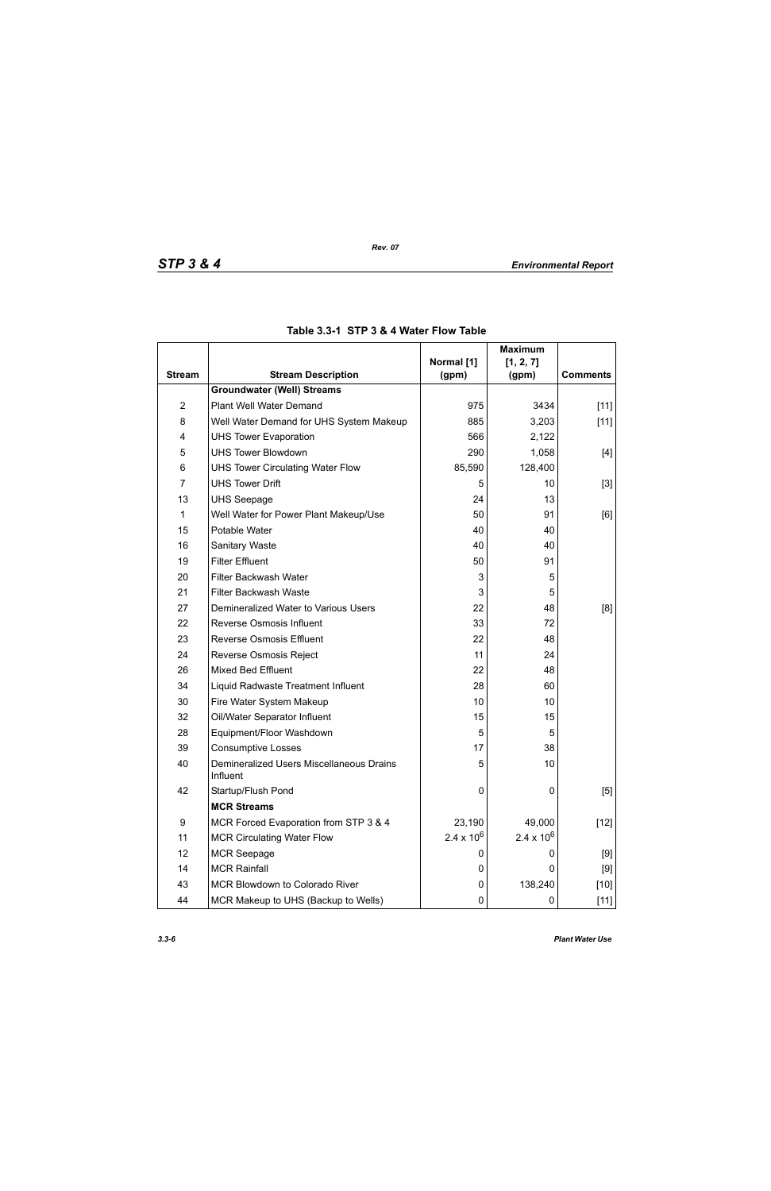|                |                                                      |                     | <b>Maximum</b>      |                 |
|----------------|------------------------------------------------------|---------------------|---------------------|-----------------|
| <b>Stream</b>  | <b>Stream Description</b>                            | Normal [1]<br>(gpm) | [1, 2, 7]<br>(gpm)  | <b>Comments</b> |
|                | <b>Groundwater (Well) Streams</b>                    |                     |                     |                 |
| $\overline{2}$ | Plant Well Water Demand                              | 975                 | 3434                | $[11]$          |
| 8              | Well Water Demand for UHS System Makeup              | 885                 | 3,203               | $[11]$          |
| 4              | <b>UHS Tower Evaporation</b>                         | 566                 | 2,122               |                 |
| 5              | <b>UHS Tower Blowdown</b>                            | 290                 | 1,058               | $[4]$           |
| 6              | <b>UHS Tower Circulating Water Flow</b>              | 85,590              | 128,400             |                 |
| $\overline{7}$ | <b>UHS Tower Drift</b>                               | 5                   | 10                  | $[3]$           |
| 13             | <b>UHS Seepage</b>                                   | 24                  | 13                  |                 |
| 1              | Well Water for Power Plant Makeup/Use                | 50                  | 91                  | [6]             |
| 15             | Potable Water                                        | 40                  | 40                  |                 |
| 16             | <b>Sanitary Waste</b>                                | 40                  | 40                  |                 |
| 19             | <b>Filter Effluent</b>                               | 50                  | 91                  |                 |
| 20             | Filter Backwash Water                                | 3                   | 5                   |                 |
| 21             | Filter Backwash Waste                                | 3                   | 5                   |                 |
| 27             | Demineralized Water to Various Users                 | 22                  | 48                  | [8]             |
| 22             | Reverse Osmosis Influent                             | 33                  | 72                  |                 |
| 23             | <b>Reverse Osmosis Effluent</b>                      | 22                  | 48                  |                 |
| 24             | Reverse Osmosis Reject                               | 11                  | 24                  |                 |
| 26             | <b>Mixed Bed Effluent</b>                            | 22                  | 48                  |                 |
| 34             | Liquid Radwaste Treatment Influent                   | 28                  | 60                  |                 |
| 30             | Fire Water System Makeup                             | 10                  | 10                  |                 |
| 32             | Oil/Water Separator Influent                         | 15                  | 15                  |                 |
| 28             | Equipment/Floor Washdown                             | 5                   | 5                   |                 |
| 39             | <b>Consumptive Losses</b>                            | 17                  | 38                  |                 |
| 40             | Demineralized Users Miscellaneous Drains<br>Influent | 5                   | 10                  |                 |
| 42             | Startup/Flush Pond                                   | 0                   | 0                   | [5]             |
|                | <b>MCR Streams</b>                                   |                     |                     |                 |
| 9              | MCR Forced Evaporation from STP 3 & 4                | 23,190              | 49,000              | $[12]$          |
| 11             | <b>MCR Circulating Water Flow</b>                    | $2.4 \times 10^{6}$ | $2.4 \times 10^{6}$ |                 |
| 12             | <b>MCR Seepage</b>                                   | O                   | 0                   | [9]             |
| 14             | <b>MCR Rainfall</b>                                  | 0                   | 0                   | $[9]$           |
| 43             | MCR Blowdown to Colorado River                       | 0                   | 138,240             | $[10]$          |
| 44             | MCR Makeup to UHS (Backup to Wells)                  | 0                   | 0                   | $[11]$          |

## **Table 3.3-1 STP 3 & 4 Water Flow Table**

*Rev. 07*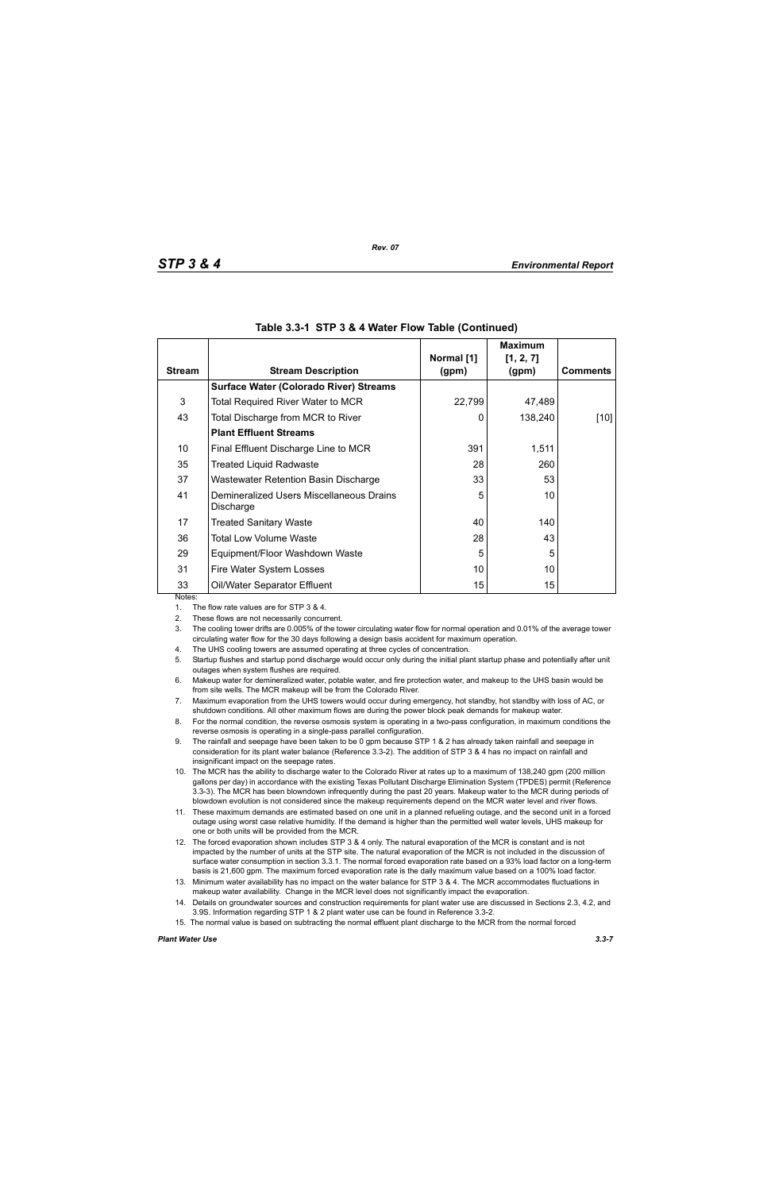|               |                                                       |                     | <b>Maximum</b>     |                 |
|---------------|-------------------------------------------------------|---------------------|--------------------|-----------------|
| <b>Stream</b> | <b>Stream Description</b>                             | Normal [1]<br>(gpm) | [1, 2, 7]<br>(gpm) | <b>Comments</b> |
|               | <b>Surface Water (Colorado River) Streams</b>         |                     |                    |                 |
| 3             | <b>Total Required River Water to MCR</b>              | 22,799              | 47,489             |                 |
| 43            | Total Discharge from MCR to River                     | 0                   | 138,240            | [10]            |
|               | <b>Plant Effluent Streams</b>                         |                     |                    |                 |
| 10            | Final Effluent Discharge Line to MCR                  | 391                 | 1,511              |                 |
| 35            | <b>Treated Liquid Radwaste</b>                        | 28                  | 260                |                 |
| 37            | Wastewater Retention Basin Discharge                  | 33                  | 53                 |                 |
| 41            | Demineralized Users Miscellaneous Drains<br>Discharge | 5                   | 10                 |                 |
| 17            | <b>Treated Sanitary Waste</b>                         | 40                  | 140                |                 |
| 36            | Total Low Volume Waste                                | 28                  | 43                 |                 |
| 29            | Equipment/Floor Washdown Waste                        | 5                   | 5                  |                 |
| 31            | Fire Water System Losses                              | 10                  | 10                 |                 |
| 33            | Oil/Water Separator Effluent                          | 15                  | 15                 |                 |
| Notes:        |                                                       |                     |                    |                 |

#### **Table 3.3-1 STP 3 & 4 Water Flow Table (Continued)**

1. The flow rate values are for STP 3 & 4.

2. These flows are not necessarily concurrent.

3. The cooling tower drifts are 0.005% of the tower circulating water flow for normal operation and 0.01% of the average tower circulating water flow for the 30 days following a design basis accident for maximum operation.

4. The UHS cooling towers are assumed operating at three cycles of concentration.

5. Startup flushes and startup pond discharge would occur only during the initial plant startup phase and potentially after unit outages when system flushes are required.

6. Makeup water for demineralized water, potable water, and fire protection water, and makeup to the UHS basin would be from site wells. The MCR makeup will be from the Colorado River.

7. Maximum evaporation from the UHS towers would occur during emergency, hot standby, hot standby with loss of AC, or shutdown conditions. All other maximum flows are during the power block peak demands for makeup water.

8. For the normal condition, the reverse osmosis system is operating in a two-pass configuration, in maximum conditions the reverse osmosis is operating in a single-pass parallel configuration.

9. The rainfall and seepage have been taken to be 0 gpm because STP 1 & 2 has already taken rainfall and seepage in consideration for its plant water balance (Reference 3.3-2). The addition of STP 3 & 4 has no impact on rainfall and insignificant impact on the seepage rates.

10. The MCR has the ability to discharge water to the Colorado River at rates up to a maximum of 138,240 gpm (200 million gallons per day) in accordance with the existing Texas Pollutant Discharge Elimination System (TPDES) permit (Reference 3.3-3). The MCR has been blowndown infrequently during the past 20 years. Makeup water to the MCR during periods of blowdown evolution is not considered since the makeup requirements depend on the MCR water level and river flows.

11. These maximum demands are estimated based on one unit in a planned refueling outage, and the second unit in a forced outage using worst case relative humidity. If the demand is higher than the permitted well water levels, UHS makeup for one or both units will be provided from the MCR.

- 12. The forced evaporation shown includes STP 3 & 4 only. The natural evaporation of the MCR is constant and is not impacted by the number of units at the STP site. The natural evaporation of the MCR is not included in the discussion of surface water consumption in section 3.3.1. The normal forced evaporation rate based on a 93% load factor on a long-term basis is 21,600 gpm. The maximum forced evaporation rate is the daily maximum value based on a 100% load factor.
- 13. Minimum water availability has no impact on the water balance for STP 3 & 4. The MCR accommodates fluctuations in makeup water availability. Change in the MCR level does not significantly impact the evaporation.
- 14. Details on groundwater sources and construction requirements for plant water use are discussed in Sections 2.3, 4.2, and 3.9S. Information regarding STP 1 & 2 plant water use can be found in Reference 3.3-2.
- 15. The normal value is based on subtracting the normal effluent plant discharge to the MCR from the normal forced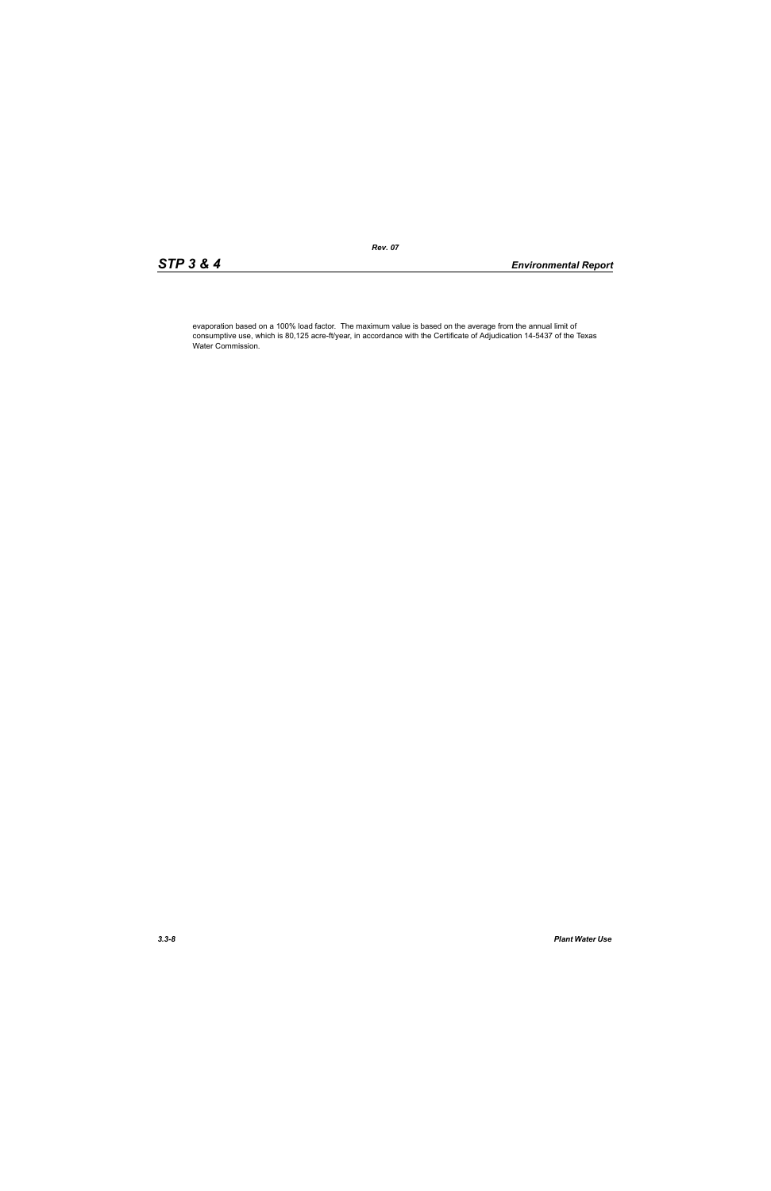evaporation based on a 100% load factor. The maximum value is based on the average from the annual limit of consumptive use, which is 80,125 acre-ft/year, in accordance with the Certificate of Adjudication 14-5437 of the Texas Water Commission.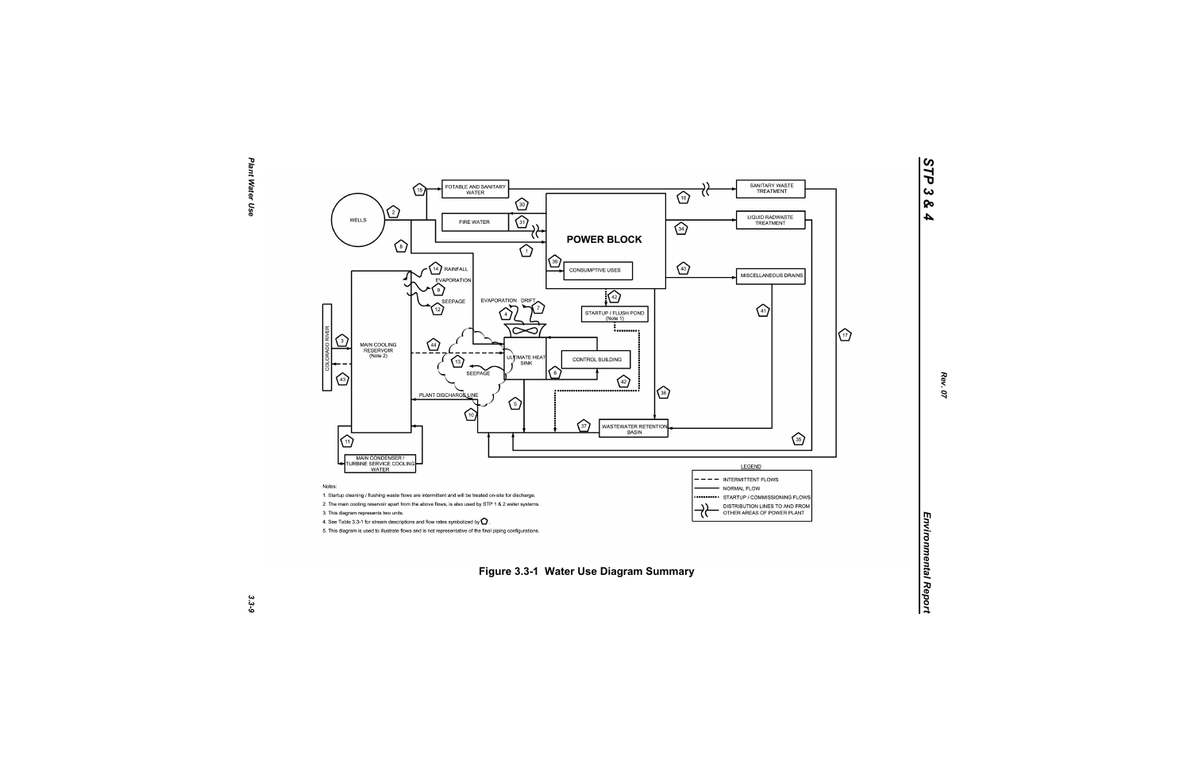

*STP 3 & 4*